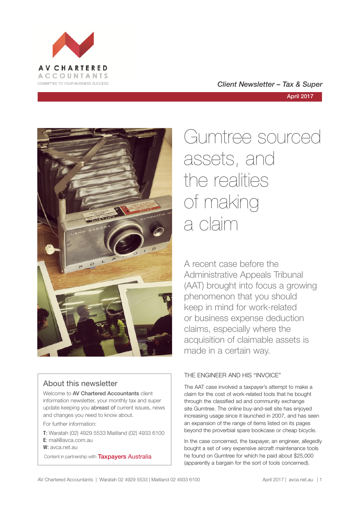

COMMITTED TO YOUR BUSINESS SUCCESS **COMMITTED TO YOUR BUSINESS SUCCESS** 

April 2017



## About this newsletter

Welcome to **AV Chartered Accountants** client information newsletter, your monthly tax and super update keeping you abreast of current issues, news and changes you need to know about.

For further information:

**T**: Waratah (02) 4929 5533 Maitland (02) 4933 6100 **E**: mail@avca.com.au

**W**: avca.net.au

Content in partnership with **Taxpayers Australia** 

# Gumtree sourced assets, and the realities of making a claim

A recent case before the Administrative Appeals Tribunal (AAT) brought into focus a growing phenomenon that you should keep in mind for work-related or business expense deduction claims, especially where the acquisition of claimable assets is made in a certain way.

## THE ENGINEER AND HIS "INVOICE"

The AAT case involved a taxpayer's attempt to make a claim for the cost of work-related tools that he bought through the classified ad and community exchange site Gumtree. The online buy-and-sell site has enjoyed increasing usage since it launched in 2007, and has seen an expansion of the range of items listed on its pages beyond the proverbial spare bookcase or cheap bicycle.

In the case concerned, the taxpayer, an engineer, allegedly bought a set of very expensive aircraft maintenance tools he found on Gumtree for which he paid about \$25,000 (apparently a bargain for the sort of tools concerned).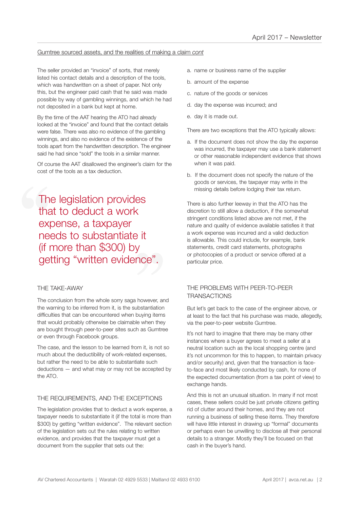#### Gumtree sourced assets, and the realities of making a claim *cont*

The seller provided an "invoice" of sorts, that merely listed his contact details and a description of the tools, which was handwritten on a sheet of paper. Not only this, but the engineer paid cash that he said was made possible by way of gambling winnings, and which he had not deposited in a bank but kept at home.

By the time of the AAT hearing the ATO had already looked at the "invoice" and found that the contact details were false. There was also no evidence of the gambling winnings, and also no evidence of the existence of the tools apart from the handwritten description. The engineer said he had since "sold" the tools in a similar manner.

Of course the AAT disallowed the engineer's claim for the cost of the tools as a tax deduction.

The<br>tha<br>exp<br>nee<br>(if r <sup>)</sup> it<br>y<br>nce". The legislation provides that to deduct a work expense, a taxpayer needs to substantiate it (if more than \$300) by getting "written evidence".

#### THE TAKE-AWAY

The conclusion from the whole sorry saga however, and the warning to be inferred from it, is the substantiation difficulties that can be encountered when buying items that would probably otherwise be claimable when they are bought through peer-to-peer sites such as Gumtree or even through Facebook groups.

The case, and the lesson to be learned from it, is not so much about the deductibility of work-related expenses, but rather the need to be able to substantiate such deductions — and what may or may not be accepted by the ATO.

#### THE REQUIREMENTS, AND THE EXCEPTIONS

The legislation provides that to deduct a work expense, a taxpayer needs to substantiate it (if the total is more than \$300) by getting "written evidence". The relevant section of the legislation sets out the rules relating to written evidence, and provides that the taxpayer must get a document from the supplier that sets out the:

- a. name or business name of the supplier
- b. amount of the expense
- c. nature of the goods or services
- d. day the expense was incurred; and
- e. day it is made out.

There are two exceptions that the ATO typically allows:

- a. If the document does not show the day the expense was incurred, the taxpayer may use a bank statement or other reasonable independent evidence that shows when it was paid.
- b. If the document does not specify the nature of the goods or services, the taxpayer may write in the missing details before lodging their tax return.

There is also further leeway in that the ATO has the discretion to still allow a deduction, if the somewhat stringent conditions listed above are not met, if the nature and quality of evidence available satisfies it that a work expense was incurred and a valid deduction is allowable. This could include, for example, bank statements, credit card statements, photographs or photocopies of a product or service offered at a particular price.

#### THE PROBLEMS WITH PEER-TO-PEER **TRANSACTIONS**

But let's get back to the case of the engineer above, or at least to the fact that his purchase was made, allegedly, via the peer-to-peer website Gumtree.

It's not hard to imagine that there may be many other instances where a buyer agrees to meet a seller at a neutral location such as the local shopping centre (and it's not uncommon for this to happen, to maintain privacy and/or security) and, given that the transaction is faceto-face and most likely conducted by cash, for none of the expected documentation (from a tax point of view) to exchange hands.

And this is not an unusual situation. In many if not most cases, these sellers could be just private citizens getting rid of clutter around their homes, and they are not running a business of selling these items. They therefore will have little interest in drawing up "formal" documents or perhaps even be unwilling to disclose all their personal details to a stranger. Mostly they'll be focused on that cash in the buyer's hand.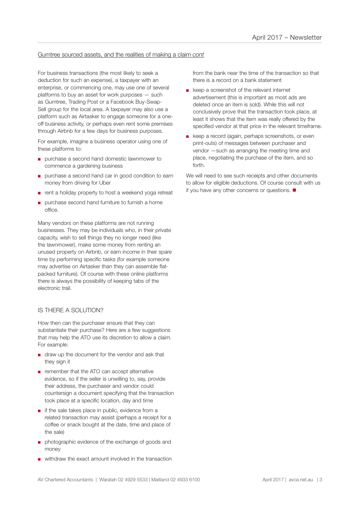#### Gumtree sourced assets, and the realities of making a claim *cont*

For business transactions (the most likely to seek a deduction for such an expense), a taxpayer with an enterprise, or commencing one, may use one of several platforms to buy an asset for work purposes — such as Gumtree, Trading Post or a Facebook Buy-Swap-Sell group for the local area. A taxpayer may also use a platform such as Airtasker to engage someone for a oneoff business activity, or perhaps even rent some premises through Airbnb for a few days for business purposes.

For example, imagine a business operator using one of these platforms to:

- purchase a second hand domestic lawnmower to commence a gardening business
- purchase a second hand car in good condition to earn money from driving for Uber
- rent a holiday property to host a weekend yoga retreat
- purchase second hand furniture to furnish a home office.

Many vendors on these platforms are not running businesses. They may be individuals who, in their private capacity, wish to sell things they no longer need (like the lawnmower), make some money from renting an unused property on Airbnb, or earn income in their spare time by performing specific tasks (for example someone may advertise on Airtasker than they can assemble flatpacked furniture). Of course with these online platforms there is always the possibility of keeping tabs of the electronic trail.

#### IS THERE A SOLUTION?

How then can the purchaser ensure that they can substantiate their purchase? Here are a few suggestions that may help the ATO use its discretion to allow a claim. For example:

- draw up the document for the vendor and ask that they sign it
- remember that the ATO can accept alternative evidence, so if the seller is unwilling to, say, provide their address, the purchaser and vendor could countersign a document specifying that the transaction took place at a specific location, day and time
- if the sale takes place in public, evidence from a related transaction may assist (perhaps a receipt for a coffee or snack bought at the date, time and place of the sale)
- photographic evidence of the exchange of goods and money
- withdraw the exact amount involved in the transaction

from the bank near the time of the transaction so that there is a record on a bank statement

- keep a screenshot of the relevant internet advertisement (this is important as most ads are deleted once an item is sold). While this will not conclusively prove that the transaction took place, at least it shows that the item was really offered by the specified vendor at that price in the relevant timeframe.
- keep a record (again, perhaps screenshots, or even print-outs) of messages between purchaser and vendor —such as arranging the meeting time and place, negotiating the purchase of the item, and so forth.

We will need to see such receipts and other documents to allow for eligible deductions. Of course consult with us if you have any other concerns or questions.  $\blacksquare$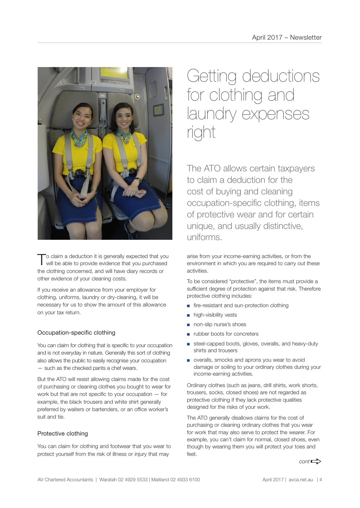

To claim a deduction it is generally expected that you will be able to provide evidence that you purchased the clothing concerned, and will have diary records or other evidence of your cleaning costs.

If you receive an allowance from your employer for clothing, uniforms, laundry or dry-cleaning, it will be necessary for us to show the amount of this allowance on your tax return.

#### Occupation-specific clothing

You can claim for clothing that is specific to your occupation and is not everyday in nature. Generally this sort of clothing also allows the public to easily recognise your occupation — such as the checked pants a chef wears.

But the ATO will resist allowing claims made for the cost of purchasing or cleaning clothes you bought to wear for work but that are not specific to your occupation — for example, the black trousers and white shirt generally preferred by waiters or bartenders, or an office worker's suit and tie.

#### Protective clothing

You can claim for clothing and footwear that you wear to protect yourself from the risk of illness or injury that may

## Getting deductions for clothing and laundry expenses right

The ATO allows certain taxpayers to claim a deduction for the cost of buying and cleaning occupation-specific clothing, items of protective wear and for certain unique, and usually distinctive, uniforms.

arise from your income-earning activities, or from the environment in which you are required to carry out these activities.

To be considered "protective", the items must provide a sufficient degree of protection against that risk. Therefore protective clothing includes:

- fire-resistant and sun-protection clothing
- high-visibility vests
- non-slip nurse's shoes
- rubber boots for concreters
- steel-capped boots, gloves, overalls, and heavy-duty shirts and trousers
- overalls, smocks and aprons you wear to avoid damage or soiling to your ordinary clothes during your income-earning activities.

Ordinary clothes (such as jeans, drill shirts, work shorts, trousers, socks, closed shoes) are not regarded as protective clothing if they lack protective qualities designed for the risks of your work.

The ATO generally disallows claims for the cost of purchasing or cleaning ordinary clothes that you wear for work that may also serve to protect the wearer. For example, you can't claim for normal, closed shoes, even though by wearing them you will protect your toes and  $f \circ f$ 

 $cont \rightarrow$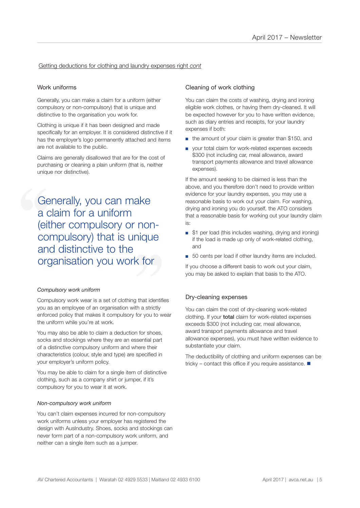#### Getting deductions for clothing and laundry expenses right *cont*

#### Work uniforms

Generally, you can make a claim for a uniform (either compulsory or non-compulsory) that is unique and distinctive to the organisation you work for.

Clothing is unique if it has been designed and made specifically for an employer. It is considered distinctive if it has the employer's logo permanently attached and items are not available to the public.

Claims are generally disallowed that are for the cost of purchasing or cleaning a plain uniform (that is, neither unique nor distinctive).

**Compulsory) that is unique<br>
and distinctive to the<br>
organisation you work for** Generally, you can make<br>a claim for a uniform<br>(either compulsory or nor<br>compulsory) that is uniqu<br>and distinctive to the a claim for a uniform (either compulsory or nonand distinctive to the organisation you work for

#### *Compulsory work uniform*

Compulsory work wear is a set of clothing that identifies you as an employee of an organisation with a strictly enforced policy that makes it compulsory for you to wear the uniform while you're at work.

You may also be able to claim a deduction for shoes, socks and stockings where they are an essential part of a distinctive compulsory uniform and where their characteristics (colour, style and type) are specified in your employer's uniform policy.

You may be able to claim for a single item of distinctive clothing, such as a company shirt or jumper, if it's compulsory for you to wear it at work.

#### *Non-compulsory work uniform*

You can't claim expenses incurred for non-compulsory work uniforms unless your employer has registered the design with AusIndustry. Shoes, socks and stockings can never form part of a non-compulsory work uniform, and neither can a single item such as a jumper.

#### Cleaning of work clothing

You can claim the costs of washing, drying and ironing eligible work clothes, or having them dry-cleaned. It will be expected however for you to have written evidence, such as diary entries and receipts, for your laundry expenses if both:

- the amount of your claim is greater than \$150, and
- your total claim for work-related expenses exceeds \$300 (not including car, meal allowance, award transport payments allowance and travel allowance expenses).

If the amount seeking to be claimed is less than the above, and you therefore don't need to provide written evidence for your laundry expenses, you may use a reasonable basis to work out your claim. For washing, drying and ironing you do yourself, the ATO considers that a reasonable basis for working out your laundry claim is:

- \$1 per load (this includes washing, drying and ironing) if the load is made up only of work-related clothing, and
- 50 cents per load if other laundry items are included.

If you choose a different basis to work out your claim, you may be asked to explain that basis to the ATO.

#### Dry-cleaning expenses

You can claim the cost of dry-cleaning work-related clothing. If your total claim for work-related expenses exceeds \$300 (not including car, meal allowance, award transport payments allowance and travel allowance expenses), you must have written evidence to substantiate your claim.

The deductibility of clothing and uniform expenses can be tricky – contact this office if you require assistance.  $\blacksquare$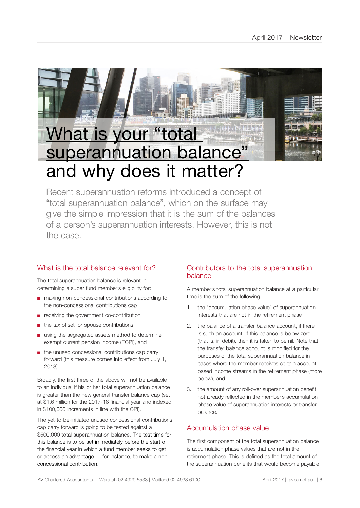

Recent superannuation reforms introduced a concept of "total superannuation balance", which on the surface may give the simple impression that it is the sum of the balances of a person's superannuation interests. However, this is not the case.

## What is the total balance relevant for?

The total superannuation balance is relevant in determining a super fund member's eligibility for:

- making non-concessional contributions according to the non-concessional contributions cap
- receiving the government co-contribution
- the tax offset for spouse contributions
- using the segregated assets method to determine exempt current pension income (ECPI), and
- the unused concessional contributions cap carry forward (this measure comes into effect from July 1, 2018).

Broadly, the first three of the above will not be available to an individual if his or her total superannuation balance is greater than the new general transfer balance cap (set at \$1.6 million for the 2017-18 financial year and indexed in \$100,000 increments in line with the CPI).

The yet-to-be-initiated unused concessional contributions cap carry forward is going to be tested against a \$500,000 total superannuation balance. The test time for this balance is to be set immediately before the start of the financial year in which a fund member seeks to get or access an advantage — for instance, to make a nonconcessional contribution.

## Contributors to the total superannuation balance

A member's total superannuation balance at a particular time is the sum of the following:

- 1. the "accumulation phase value" of superannuation interests that are not in the retirement phase
- 2. the balance of a transfer balance account, if there is such an account. If this balance is below zero (that is, in debit), then it is taken to be nil. Note that the transfer balance account is modified for the purposes of the total superannuation balance in cases where the member receives certain accountbased income streams in the retirement phase (more below), and
- 3. the amount of any roll-over superannuation benefit not already reflected in the member's accumulation phase value of superannuation interests or transfer balance.

## Accumulation phase value

The first component of the total superannuation balance is accumulation phase values that are not in the retirement phase. This is defined as the total amount of the superannuation benefits that would become payable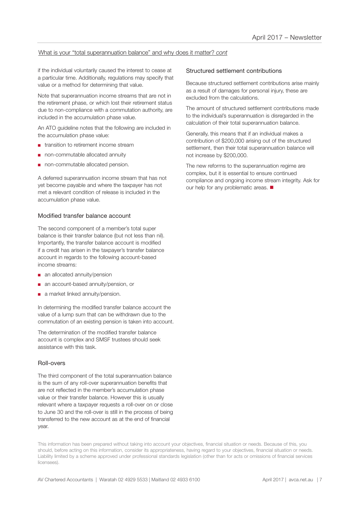#### What is your "total superannuation balance" and why does it matter? *cont*

if the individual voluntarily caused the interest to cease at a particular time. Additionally, regulations may specify that value or a method for determining that value.

Note that superannuation income streams that are not in the retirement phase, or which lost their retirement status due to non-compliance with a commutation authority, are included in the accumulation phase value.

An ATO guideline notes that the following are included in the accumulation phase value:

- transition to retirement income stream
- non-commutable allocated annuity
- non-commutable allocated pension.

A deferred superannuation income stream that has not yet become payable and where the taxpayer has not met a relevant condition of release is included in the accumulation phase value.

#### Modified transfer balance account

The second component of a member's total super balance is their transfer balance (but not less than nil). Importantly, the transfer balance account is modified if a credit has arisen in the taxpayer's transfer balance account in regards to the following account-based income streams:

- an allocated annuity/pension
- an account-based annuity/pension, or
- a market linked annuity/pension.

In determining the modified transfer balance account the value of a lump sum that can be withdrawn due to the commutation of an existing pension is taken into account.

The determination of the modified transfer balance account is complex and SMSF trustees should seek assistance with this task.

#### Roll-overs

The third component of the total superannuation balance is the sum of any roll-over superannuation benefits that are not reflected in the member's accumulation phase value or their transfer balance. However this is usually relevant where a taxpayer requests a roll-over on or close to June 30 and the roll-over is still in the process of being transferred to the new account as at the end of financial year.

#### Structured settlement contributions

Because structured settlement contributions arise mainly as a result of damages for personal injury, these are excluded from the calculations.

The amount of structured settlement contributions made to the individual's superannuation is disregarded in the calculation of their total superannuation balance.

Generally, this means that if an individual makes a contribution of \$200,000 arising out of the structured settlement, then their total superannuation balance will not increase by \$200,000.

The new reforms to the superannuation regime are complex, but it is essential to ensure continued compliance and ongoing income stream integrity. Ask for our help for any problematic areas.  $\blacksquare$ 

This information has been prepared without taking into account your objectives, financial situation or needs. Because of this, you should, before acting on this information, consider its appropriateness, having regard to your objectives, financial situation or needs. Liability limited by a scheme approved under professional standards legislation (other than for acts or omissions of financial services licensees).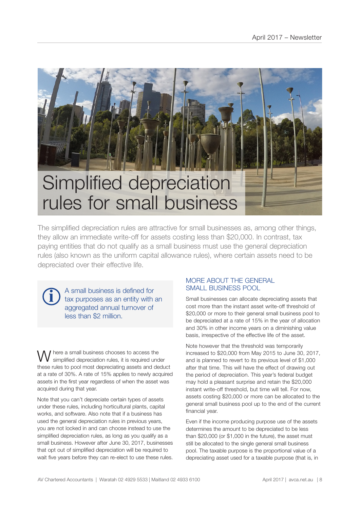

The simplified depreciation rules are attractive for small businesses as, among other things, they allow an immediate write-off for assets costing less than \$20,000. In contrast, tax paying entities that do not qualify as a small business must use the general depreciation rules (also known as the uniform capital allowance rules), where certain assets need to be depreciated over their effective life.

A small business is defined for tax purposes as an entity with an aggregated annual turnover of less than \$2 million.

**i**

Where a small business chooses to access the simplified depreciation rules, it is required under these rules to pool most depreciating assets and deduct at a rate of 30%. A rate of 15% applies to newly acquired assets in the first year regardless of when the asset was acquired during that year.

Note that you can't depreciate certain types of assets under these rules, including horticultural plants, capital works, and software. Also note that if a business has used the general depreciation rules in previous years, you are not locked in and can choose instead to use the simplified depreciation rules, as long as you qualify as a small business. However after June 30, 2017, businesses that opt out of simplified depreciation will be required to wait five years before they can re-elect to use these rules.

#### MORE ABOUT THE GENERAL SMALL BUSINESS POOL

Small businesses can allocate depreciating assets that cost more than the instant asset write-off threshold of \$20,000 or more to their general small business pool to be depreciated at a rate of 15% in the year of allocation and 30% in other income years on a diminishing value basis, irrespective of the effective life of the asset.

Note however that the threshold was temporarily increased to \$20,000 from May 2015 to June 30, 2017, and is planned to revert to its previous level of \$1,000 after that time. This will have the effect of drawing out the period of depreciation. This year's federal budget may hold a pleasant surprise and retain the \$20,000 instant write-off threshold, but time will tell. For now, assets costing \$20,000 or more can be allocated to the general small business pool up to the end of the current financial year.

Even if the income producing purpose use of the assets determines the amount to be depreciated to be less than \$20,000 (or \$1,000 in the future), the asset must still be allocated to the single general small business pool. The taxable purpose is the proportional value of a depreciating asset used for a taxable purpose (that is, in